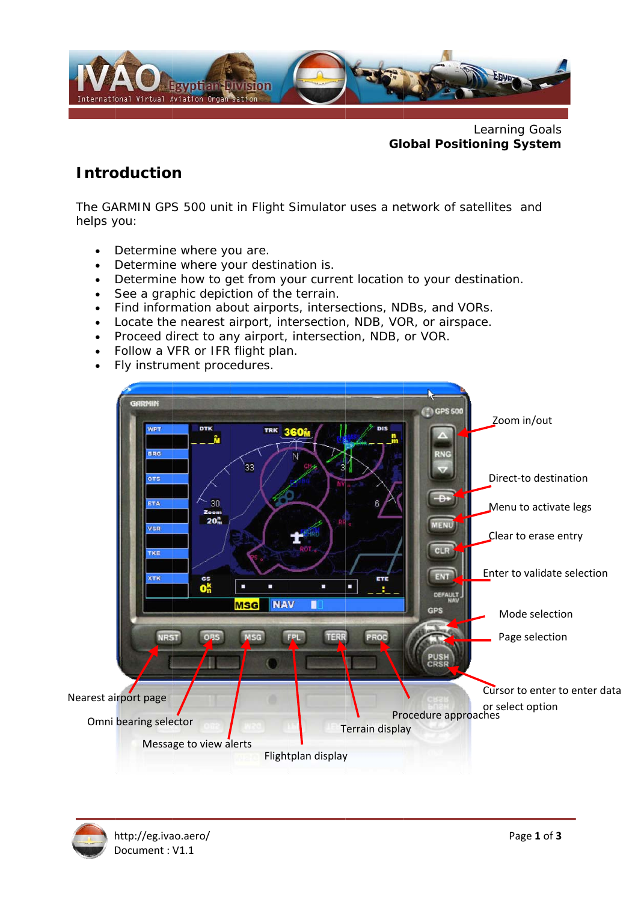

Learning Goals **Global Positioning System** 

### **Introduction**

The GARMIN GPS 500 unit in Flight Simulator uses a network of satellites and helps you:

- Determine where you are.  $\bullet$
- Determine where your destination is.
- Determine how to get from your current location to your destination.
- See a graphic depiction of the terrain.
- Find information about airports, intersections, NDBs, and VORs.
- Locate the nearest airport, intersection, NDB, VOR, or airspace.
- Proceed direct to any airport, intersection, NDB, or VOR.
- Follow a VFR or IFR flight plan.
- Fly instrument procedures.  $\bullet$

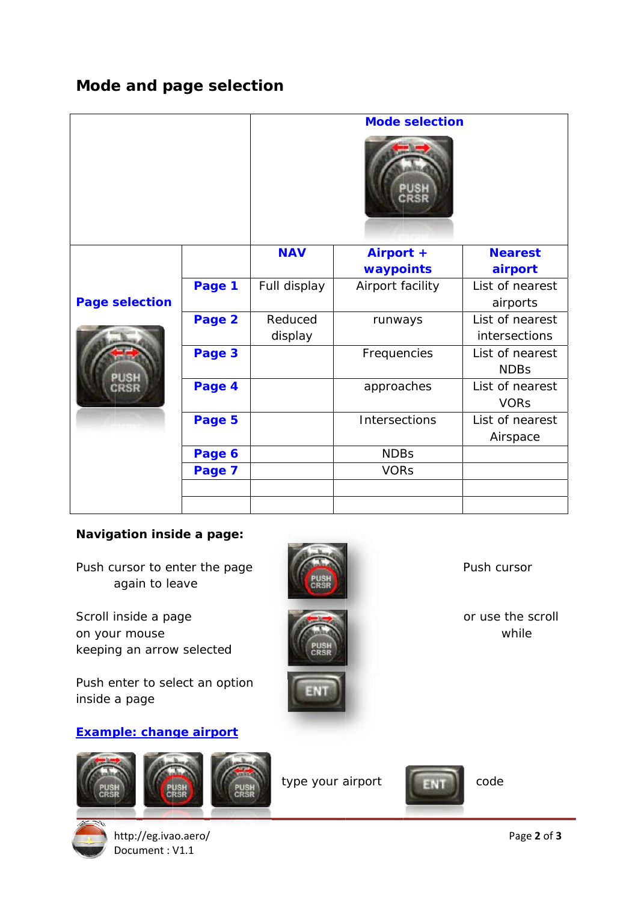# Mode and page selection

|                                       |        | <b>Mode selection</b> |                  |                 |
|---------------------------------------|--------|-----------------------|------------------|-----------------|
|                                       |        |                       |                  |                 |
|                                       |        | <b>NAV</b>            | Airport +        | <b>Nearest</b>  |
| <b>Page selection</b><br>PUSH<br>CRSR |        |                       | waypoints        | airport         |
|                                       | Page 1 | Full display          | Airport facility | List of nearest |
|                                       |        |                       |                  | airports        |
|                                       | Page 2 | Reduced               | runways          | List of nearest |
|                                       |        | display               |                  | intersections   |
|                                       | Page 3 |                       | Frequencies      | List of nearest |
|                                       |        |                       |                  | <b>NDBs</b>     |
|                                       | Page 4 |                       | approaches       | List of nearest |
|                                       |        |                       |                  | <b>VORs</b>     |
|                                       | Page 5 |                       | Intersections    | List of nearest |
|                                       |        |                       |                  | Airspace        |
|                                       | Page 6 |                       | <b>NDBs</b>      |                 |
|                                       | Page 7 |                       | <b>VORs</b>      |                 |
|                                       |        |                       |                  |                 |
|                                       |        |                       |                  |                 |

### **Navigation inside a page:**

Push cursor to enter the page again to leave

Scroll inside a page on your mouse keeping an arrow selected

Push enter to select an option inside a page

#### **Example: change airport**





http://eg.ivao.aero/ Document: V1.1



type your airport

while

Push cursor

or use the scroll



code